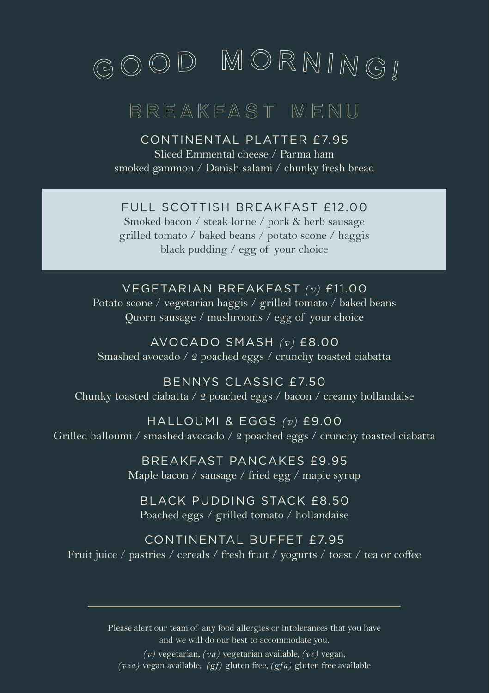

## BREAKFAST MENU

CONTINENTAL PLATTER £7.95 Sliced Emmental cheese / Parma ham

smoked gammon / Danish salami / chunky fresh bread

FULL SCOTTISH BREAKFAST £12.00

Smoked bacon / steak lorne / pork & herb sausage grilled tomato / baked beans / potato scone / haggis black pudding / egg of your choice

## VEGETARIAN BREAKFAST *(v)* £11.00

Potato scone / vegetarian haggis / grilled tomato / baked beans Quorn sausage / mushrooms / egg of your choice

AVOCADO SMASH *(v)* £8.00 Smashed avocado / 2 poached eggs / crunchy toasted ciabatta

BENNYS CLASSIC £7.50 Chunky toasted ciabatta / 2 poached eggs / bacon / creamy hollandaise

HALLOUMI & EGGS *(v)* £9.00 Grilled halloumi / smashed avocado / 2 poached eggs / crunchy toasted ciabatta

> BREAKFAST PANCAKES £9.95 Maple bacon / sausage / fried egg / maple syrup

BLACK PUDDING STACK £8.50 Poached eggs / grilled tomato / hollandaise

CONTINENTAL BUFFET £7.95 Fruit juice / pastries / cereals / fresh fruit / yogurts / toast / tea or coffee

> Please alert our team of any food allergies or intolerances that you have and we will do our best to accommodate you.

*(v)* vegetarian, *(va)* vegetarian available, *(ve)* vegan, *(vea)* vegan available, *(gf)* gluten free, *(gfa)* gluten free available